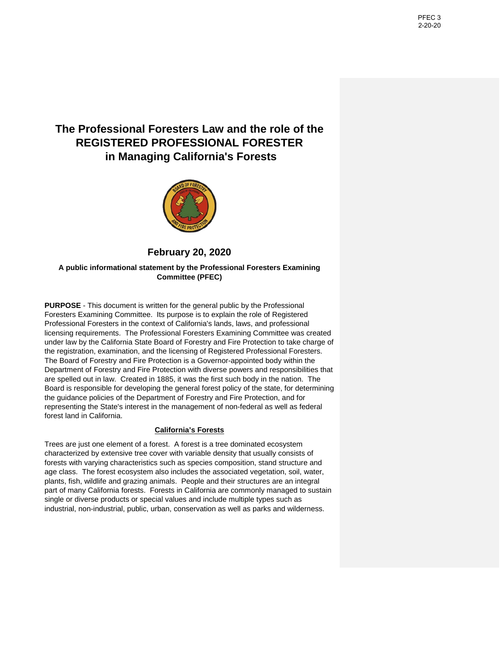# **The Professional Foresters Law and the role of the REGISTERED PROFESSIONAL FORESTER in Managing California's Forests**



# **February 20, 2020**

**A public informational statement by the Professional Foresters Examining Committee (PFEC)**

**PURPOSE** - This document is written for the general public by the Professional Foresters Examining Committee. Its purpose is to explain the role of Registered Professional Foresters in the context of California's lands, laws, and professional licensing requirements. The Professional Foresters Examining Committee was created under law by the California State Board of Forestry and Fire Protection to take charge of the registration, examination, and the licensing of Registered Professional Foresters. The Board of Forestry and Fire Protection is a Governor-appointed body within the Department of Forestry and Fire Protection with diverse powers and responsibilities that are spelled out in law. Created in 1885, it was the first such body in the nation. The Board is responsible for developing the general forest policy of the state, for determining the guidance policies of the Department of Forestry and Fire Protection, and for representing the State's interest in the management of non-federal as well as federal forest land in California.

# **California's Forests**

Trees are just one element of a forest. A forest is a tree dominated ecosystem characterized by extensive tree cover with variable density that usually consists of forests with varying characteristics such as species composition, stand structure and age class. The forest ecosystem also includes the associated vegetation, soil, water, plants, fish, wildlife and grazing animals. People and their structures are an integral part of many California forests. Forests in California are commonly managed to sustain single or diverse products or special values and include multiple types such as industrial, non-industrial, public, urban, conservation as well as parks and wilderness.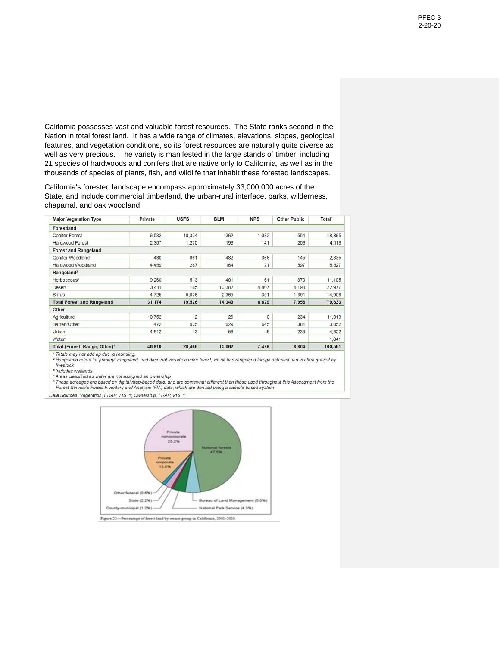California possesses vast and valuable forest resources. The State ranks second in the Nation in total forest land. It has a wide range of climates, elevations, slopes, geological features, and vegetation conditions, so its forest resources are naturally quite diverse as well as very precious. The variety is manifested in the large stands of timber, including 21 species of hardwoods and conifers that are native only to California, as well as in the thousands of species of plants, fish, and wildlife that inhabit these forested landscapes.

California's forested landscape encompass approximately 33,000,000 acres of the State, and include commercial timberland, the urban-rural interface, parks, wilderness, chaparral, and oak woodland.

| <b>Major Vegetation Type</b>              | Private | <b>USFS</b>    | <b>BLM</b> | <b>NPS</b> | <b>Other Public</b> | Total <sup>1</sup> |
|-------------------------------------------|---------|----------------|------------|------------|---------------------|--------------------|
| Forestland                                |         |                |            |            |                     |                    |
| <b>Conifer Forest</b>                     | 6,532   | 10.334         | 362        | 1,082      | 554                 | 18,865             |
| Hardwood Forest                           | 2.307   | 1,270          | 193        | 141        | 206                 | 4,116              |
| <b>Forest and Rangeland</b>               |         |                |            |            |                     |                    |
| Conifer Woodland                          | 480     | 861            | 482        | 366        | 145                 | 2,335              |
| Hardwood Woodland                         | 4,459   | 287            | 164        | 21         | 597                 | 5.527              |
| Rangeland <sup>2</sup>                    |         |                |            |            |                     |                    |
| Herbaceous <sup>3</sup>                   | 9,260   | 513            | 401        | 61         | 870                 | 11,105             |
| Desert                                    | 3,411   | 185            | 10,382     | 4,807      | 4,193               | 22,977             |
| Shrub                                     | 4.725   | 6,076          | 2,365      | 351        | 1,391               | 14.908             |
| <b>Total Forest and Rangeland</b>         | 31,174  | 19,526         | 14,349     | 6.829      | 7,956               | 79,833             |
| Other                                     |         |                |            |            |                     |                    |
| Agriculture                               | 10,752  | $\overline{c}$ | 26         | $\Omega$   | 234                 | 11.013             |
| Barren/Other                              | 472     | 925            | 629        | 645        | 381                 | 3,052              |
| Urban                                     | 4.512   | 13             | 58         | 5          | 233                 | 4.822              |
| Water <sup>4</sup>                        |         |                |            |            |                     | 1,841              |
| Total (Forest, Range, Other) <sup>5</sup> | 46,910  | 20,466         | 15,062     | 7,479      | 8,804               | 100,561            |

and any statement of the state of the state of the state of the state of the state of the state of the state of the grazed by livestock<br><sup>3</sup> Includes wetlands

<sup>4</sup> Areas classified as water are not assigned an ownership<br><sup>4</sup> Areas classified as water are not assigned an ownership Forest Service's Forest Inventory and Analysis (FIA) data, which are derived using a sample-based system

Data Sources: Vegetation, FRAP, v15\_1; Ownership, FRAP, v15\_1.

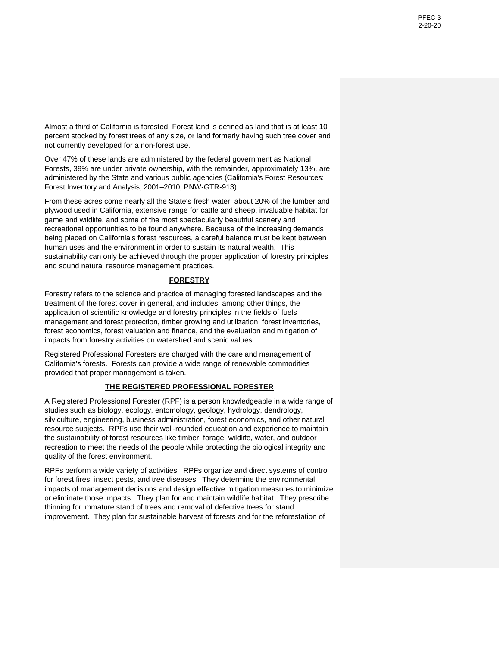Almost a third of California is forested. Forest land is defined as land that is at least 10 percent stocked by forest trees of any size, or land formerly having such tree cover and not currently developed for a non-forest use.

Over 47% of these lands are administered by the federal government as National Forests, 39% are under private ownership, with the remainder, approximately 13%, are administered by the State and various public agencies (California's Forest Resources: Forest Inventory and Analysis, 2001–2010, PNW‐GTR‐913).

From these acres come nearly all the State's fresh water, about 20% of the lumber and plywood used in California, extensive range for cattle and sheep, invaluable habitat for game and wildlife, and some of the most spectacularly beautiful scenery and recreational opportunities to be found anywhere. Because of the increasing demands being placed on California's forest resources, a careful balance must be kept between human uses and the environment in order to sustain its natural wealth. This sustainability can only be achieved through the proper application of forestry principles and sound natural resource management practices.

# **FORESTRY**

Forestry refers to the science and practice of managing forested landscapes and the treatment of the forest cover in general, and includes, among other things, the application of scientific knowledge and forestry principles in the fields of fuels management and forest protection, timber growing and utilization, forest inventories, forest economics, forest valuation and finance, and the evaluation and mitigation of impacts from forestry activities on watershed and scenic values.

Registered Professional Foresters are charged with the care and management of California's forests. Forests can provide a wide range of renewable commodities provided that proper management is taken.

# **THE REGISTERED PROFESSIONAL FORESTER**

A Registered Professional Forester (RPF) is a person knowledgeable in a wide range of studies such as biology, ecology, entomology, geology, hydrology, dendrology, silviculture, engineering, business administration, forest economics, and other natural resource subjects. RPFs use their well-rounded education and experience to maintain the sustainability of forest resources like timber, forage, wildlife, water, and outdoor recreation to meet the needs of the people while protecting the biological integrity and quality of the forest environment.

RPFs perform a wide variety of activities. RPFs organize and direct systems of control for forest fires, insect pests, and tree diseases. They determine the environmental impacts of management decisions and design effective mitigation measures to minimize or eliminate those impacts. They plan for and maintain wildlife habitat. They prescribe thinning for immature stand of trees and removal of defective trees for stand improvement. They plan for sustainable harvest of forests and for the reforestation of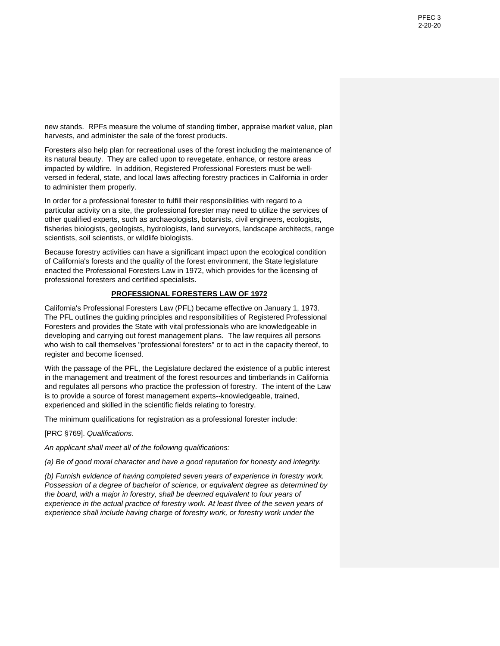new stands. RPFs measure the volume of standing timber, appraise market value, plan harvests, and administer the sale of the forest products.

Foresters also help plan for recreational uses of the forest including the maintenance of its natural beauty. They are called upon to revegetate, enhance, or restore areas impacted by wildfire. In addition, Registered Professional Foresters must be wellversed in federal, state, and local laws affecting forestry practices in California in order to administer them properly.

In order for a professional forester to fulfill their responsibilities with regard to a particular activity on a site, the professional forester may need to utilize the services of other qualified experts, such as archaeologists, botanists, civil engineers, ecologists, fisheries biologists, geologists, hydrologists, land surveyors, landscape architects, range scientists, soil scientists, or wildlife biologists.

Because forestry activities can have a significant impact upon the ecological condition of California's forests and the quality of the forest environment, the State legislature enacted the Professional Foresters Law in 1972, which provides for the licensing of professional foresters and certified specialists.

# **PROFESSIONAL FORESTERS LAW OF 1972**

California's Professional Foresters Law (PFL) became effective on January 1, 1973. The PFL outlines the guiding principles and responsibilities of Registered Professional Foresters and provides the State with vital professionals who are knowledgeable in developing and carrying out forest management plans. The law requires all persons who wish to call themselves "professional foresters" or to act in the capacity thereof, to register and become licensed.

With the passage of the PFL, the Legislature declared the existence of a public interest in the management and treatment of the forest resources and timberlands in California and regulates all persons who practice the profession of forestry. The intent of the Law is to provide a source of forest management experts--knowledgeable, trained, experienced and skilled in the scientific fields relating to forestry.

The minimum qualifications for registration as a professional forester include:

[PRC §769]. *Qualifications.*

*An applicant shall meet all of the following qualifications:* 

*(a) Be of good moral character and have a good reputation for honesty and integrity.* 

*(b) Furnish evidence of having completed seven years of experience in forestry work. Possession of a degree of bachelor of science, or equivalent degree as determined by the board, with a major in forestry, shall be deemed equivalent to four years of experience in the actual practice of forestry work. At least three of the seven years of experience shall include having charge of forestry work, or forestry work under the*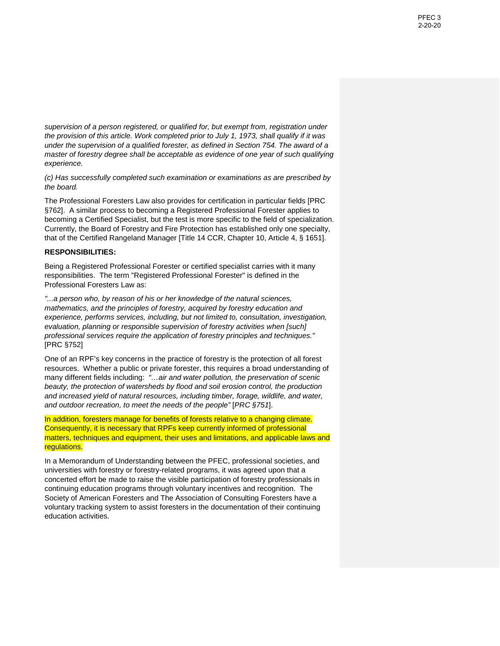*supervision of a person registered, or qualified for, but exempt from, registration under the provision of this article. Work completed prior to July 1, 1973, shall qualify if it was under the supervision of a qualified forester, as defined in Section 754. The award of a master of forestry degree shall be acceptable as evidence of one year of such qualifying experience.* 

*(c) Has successfully completed such examination or examinations as are prescribed by the board.* 

The Professional Foresters Law also provides for certification in particular fields [PRC §762]. A similar process to becoming a Registered Professional Forester applies to becoming a Certified Specialist, but the test is more specific to the field of specialization. Currently, the Board of Forestry and Fire Protection has established only one specialty, that of the Certified Rangeland Manager [Title 14 CCR, Chapter 10, Article 4, § 1651].

#### **RESPONSIBILITIES:**

Being a Registered Professional Forester or certified specialist carries with it many responsibilities. The term "Registered Professional Forester" is defined in the Professional Foresters Law as:

*"...a person who, by reason of his or her knowledge of the natural sciences, mathematics, and the principles of forestry, acquired by forestry education and experience, performs services, including, but not limited to, consultation, investigation, evaluation, planning or responsible supervision of forestry activities when [such] professional services require the application of forestry principles and techniques."*  [PRC §752]

One of an RPF's key concerns in the practice of forestry is the protection of all forest resources. Whether a public or private forester, this requires a broad understanding of many different fields including: *"…air and water pollution, the preservation of scenic beauty, the protection of watersheds by flood and soil erosion control, the production and increased yield of natural resources, including timber, forage, wildlife, and water, and outdoor recreation, to meet the needs of the people"* [*PRC §751*].

In addition, foresters manage for benefits of forests relative to a changing climate. Consequently, it is necessary that RPFs keep currently informed of professional matters, techniques and equipment, their uses and limitations, and applicable laws and regulations.

In a Memorandum of Understanding between the PFEC, professional societies, and universities with forestry or forestry-related programs, it was agreed upon that a concerted effort be made to raise the visible participation of forestry professionals in continuing education programs through voluntary incentives and recognition. The Society of American Foresters and The Association of Consulting Foresters have a voluntary tracking system to assist foresters in the documentation of their continuing education activities.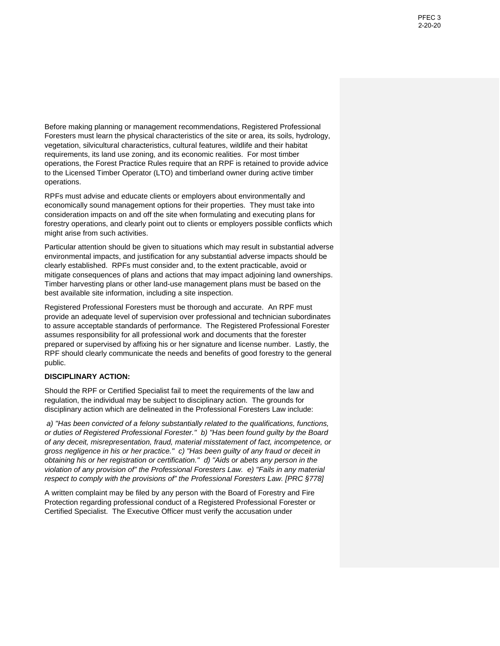Before making planning or management recommendations, Registered Professional Foresters must learn the physical characteristics of the site or area, its soils, hydrology, vegetation, silvicultural characteristics, cultural features, wildlife and their habitat requirements, its land use zoning, and its economic realities. For most timber operations, the Forest Practice Rules require that an RPF is retained to provide advice to the Licensed Timber Operator (LTO) and timberland owner during active timber operations.

RPFs must advise and educate clients or employers about environmentally and economically sound management options for their properties. They must take into consideration impacts on and off the site when formulating and executing plans for forestry operations, and clearly point out to clients or employers possible conflicts which might arise from such activities.

Particular attention should be given to situations which may result in substantial adverse environmental impacts, and justification for any substantial adverse impacts should be clearly established. RPFs must consider and, to the extent practicable, avoid or mitigate consequences of plans and actions that may impact adjoining land ownerships. Timber harvesting plans or other land-use management plans must be based on the best available site information, including a site inspection.

Registered Professional Foresters must be thorough and accurate. An RPF must provide an adequate level of supervision over professional and technician subordinates to assure acceptable standards of performance. The Registered Professional Forester assumes responsibility for all professional work and documents that the forester prepared or supervised by affixing his or her signature and license number. Lastly, the RPF should clearly communicate the needs and benefits of good forestry to the general public.

## **DISCIPLINARY ACTION:**

Should the RPF or Certified Specialist fail to meet the requirements of the law and regulation, the individual may be subject to disciplinary action. The grounds for disciplinary action which are delineated in the Professional Foresters Law include:

*a) "Has been convicted of a felony substantially related to the qualifications, functions, or duties of Registered Professional Forester." b) "Has been found guilty by the Board of any deceit, misrepresentation, fraud, material misstatement of fact, incompetence, or gross negligence in his or her practice." c) "Has been guilty of any fraud or deceit in obtaining his or her registration or certification." d) "Aids or abets any person in the violation of any provision of" the Professional Foresters Law. e) "Fails in any material respect to comply with the provisions of" the Professional Foresters Law. [PRC §778]* 

A written complaint may be filed by any person with the Board of Forestry and Fire Protection regarding professional conduct of a Registered Professional Forester or Certified Specialist. The Executive Officer must verify the accusation under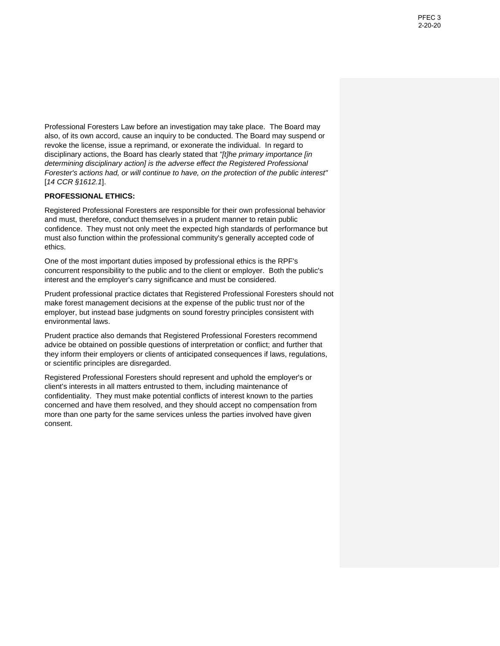Professional Foresters Law before an investigation may take place. The Board may also, of its own accord, cause an inquiry to be conducted. The Board may suspend or revoke the license, issue a reprimand, or exonerate the individual. In regard to disciplinary actions, the Board has clearly stated that *"[t]he primary importance [in determining disciplinary action] is the adverse effect the Registered Professional Forester's actions had, or will continue to have, on the protection of the public interest"* [*14 CCR §1612.1*].

## **PROFESSIONAL ETHICS:**

Registered Professional Foresters are responsible for their own professional behavior and must, therefore, conduct themselves in a prudent manner to retain public confidence. They must not only meet the expected high standards of performance but must also function within the professional community's generally accepted code of ethics.

One of the most important duties imposed by professional ethics is the RPF's concurrent responsibility to the public and to the client or employer. Both the public's interest and the employer's carry significance and must be considered.

Prudent professional practice dictates that Registered Professional Foresters should not make forest management decisions at the expense of the public trust nor of the employer, but instead base judgments on sound forestry principles consistent with environmental laws.

Prudent practice also demands that Registered Professional Foresters recommend advice be obtained on possible questions of interpretation or conflict; and further that they inform their employers or clients of anticipated consequences if laws, regulations, or scientific principles are disregarded.

Registered Professional Foresters should represent and uphold the employer's or client's interests in all matters entrusted to them, including maintenance of confidentiality. They must make potential conflicts of interest known to the parties concerned and have them resolved, and they should accept no compensation from more than one party for the same services unless the parties involved have given consent.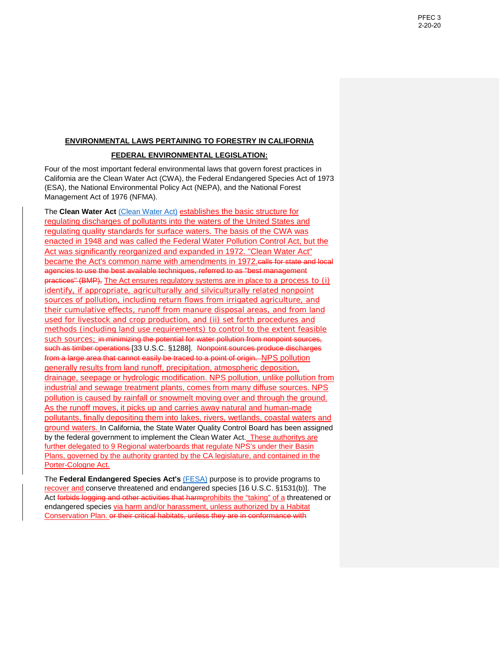## **ENVIRONMENTAL LAWS PERTAINING TO FORESTRY IN CALIFORNIA**

## **FEDERAL ENVIRONMENTAL LEGISLATION:**

Four of the most important federal environmental laws that govern forest practices in California are the Clean Water Act (CWA), the Federal Endangered Species Act of 1973 (ESA), the National Environmental Policy Act (NEPA), and the National Forest Management Act of 1976 (NFMA).

The **Clean Water Act** [\(Clean Water Act\)](https://www.epa.gov/laws-regulations/summary-clean-water-act) establishes the basic structure for regulating discharges of pollutants into the waters of the United States and regulating quality standards for surface waters. The basis of the CWA was enacted in 1948 and was called the Federal Water Pollution Control Act, but the Act was significantly reorganized and expanded in 1972. "Clean Water Act" became the Act's common name with amendments in 1972.calls for state and local agencies to use the best available techniques, referred to as "best management practices" (BMP), The Act ensures regulatory systems are in place to a process to (i) identify, if appropriate, agriculturally and silviculturally related nonpoint sources of [pollution,](https://www.law.cornell.edu/uscode/text/33/1288) including return flows from irrigated agriculture, and their cumulative effects, runoff from manure disposal areas, and from land used for livestock and crop production, and (ii) set forth procedures and methods (including land use requirements) to control to the extent feasible such sources; in minimizing the potential for water pollution from nonpoint sources, such as timber operations [33 U.S.C. §1288]. Nonpoint sources produce discharges from a large area that cannot easily be traced to a point of origin. NPS pollution generally results from land runoff, precipitation, atmospheric deposition, drainage, seepage or hydrologic modification. NPS pollution, unlike pollution from industrial and sewage treatment plants, comes from many diffuse sources. NPS pollution is caused by rainfall or snowmelt moving over and through the ground. As the runoff moves, it picks up and carries away natural and human-made pollutants, finally depositing them into lakes, rivers, wetlands, coastal waters and ground waters. In California, the State Water Quality Control Board has been assigned by the federal government to implement the Clean Water Act. These authoritys are further delegated to 9 Regional waterboards that regulate NPS's under their Basin Plans, governed by the authority granted by the CA legislature, and contained in the Porter-Cologne Act.

The **Federal Endangered Species Act's** [\(FESA\)](https://www.fws.gov/endangered/laws-policies/esa.html) purpose is to provide programs to recover and conserve threatened and endangered species [16 U.S.C. §1531(b)]. The Act forbids logging and other activities that harmprohibits the "taking" of a threatened or endangered species via harm and/or harassment, unless authorized by a Habitat Conservation Plan. or their critical habitats, unless they are in conformance with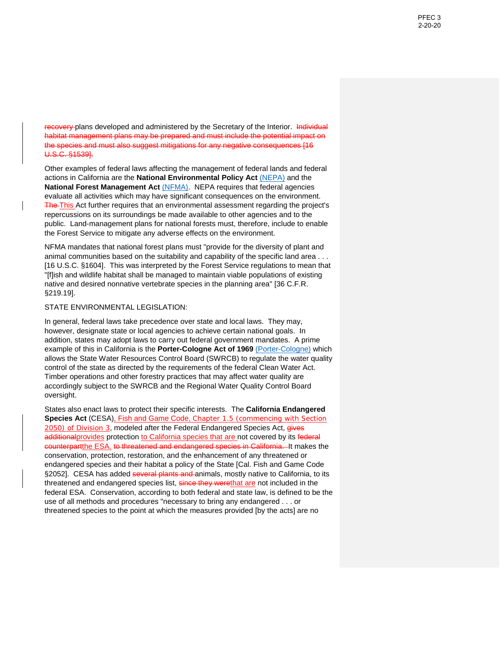recovery plans developed and administered by the Secretary of the Interior. Individual habitat management plans may be prepared and must include the potential impact on the species and must also suggest mitigations for any negative consequences [16 U.S.C. §1539].

Other examples of federal laws affecting the management of federal lands and federal actions in California are the **National Environmental Policy Act** [\(NEPA\)](https://www.epa.gov/nepa) and the **National Forest Management Act** [\(NFMA\).](https://www.fs.fed.us/emc/nfma/includes/NFMA1976.pdf) NEPA requires that federal agencies evaluate all activities which may have significant consequences on the environment. The This Act further requires that an environmental assessment regarding the project's repercussions on its surroundings be made available to other agencies and to the public. Land-management plans for national forests must, therefore, include to enable the Forest Service to mitigate any adverse effects on the environment.

NFMA mandates that national forest plans must "provide for the diversity of plant and animal communities based on the suitability and capability of the specific land area . . . [16 U.S.C. §1604]. This was interpreted by the Forest Service regulations to mean that "[f]ish and wildlife habitat shall be managed to maintain viable populations of existing native and desired nonnative vertebrate species in the planning area" [36 C.F.R. §219.19].

## STATE ENVIRONMENTAL LEGISLATION:

In general, federal laws take precedence over state and local laws. They may, however, designate state or local agencies to achieve certain national goals. In addition, states may adopt laws to carry out federal government mandates. A prime example of this in California is the **Porter-Cologne Act of 1969** [\(Porter-Cologne\)](https://www.waterboards.ca.gov/laws_regulations/docs/portercologne.pdf) which allows the State Water Resources Control Board (SWRCB) to regulate the water quality control of the state as directed by the requirements of the federal Clean Water Act. Timber operations and other forestry practices that may affect water quality are accordingly subject to the SWRCB and the Regional Water Quality Control Board oversight.

States also enact laws to protect their specific interests. The **California Endangered Species Act** (CESA), Fish and Game Code, Chapter 1.5 (commencing with Section 2050) of Division 3, modeled after the Federal Endangered Species Act, gives additional provides protection to California species that are not covered by its federal counterpartthe ESA. to threatened and endangered species in California. It makes the conservation, protection, restoration, and the enhancement of any threatened or endangered species and their habitat a policy of the State [Cal. Fish and Game Code §2052]. CESA has added several plants and animals, mostly native to California, to its threatened and endangered species list, since they werethat are not included in the federal ESA. Conservation, according to both federal and state law, is defined to be the use of all methods and procedures "necessary to bring any endangered . . . or threatened species to the point at which the measures provided [by the acts] are no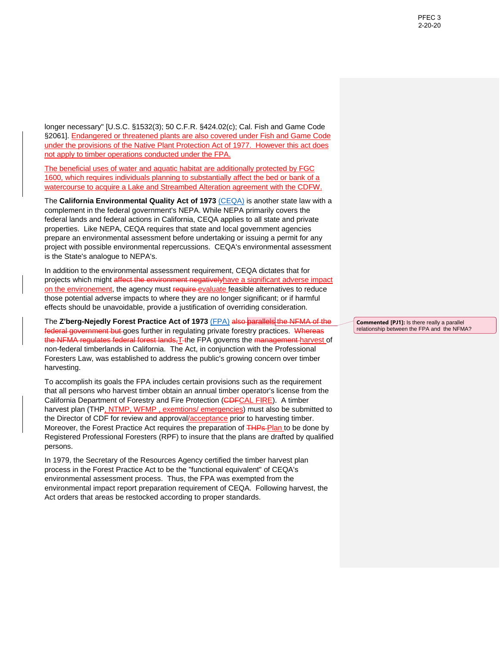longer necessary" [U.S.C. §1532(3); 50 C.F.R. §424.02(c); Cal. Fish and Game Code §2061]. Endangered or threatened plants are also covered under Fish and Game Code under the provisions of the Native Plant Protection Act of 1977. However this act does not apply to timber operations conducted under the FPA.

The beneficial uses of water and aquatic habitat are additionally protected by FGC 1600, which requires individuals planning to substantially affect the bed or bank of a watercourse to acquire a Lake and Streambed Alteration agreement with the CDFW.

The **California Environmental Quality Act of 1973** [\(CEQA\)](http://resources.ca.gov/ceqa/docs/2019_CEQA_Statutes_and_Guidelines.pdf) is another state law with a complement in the federal government's NEPA. While NEPA primarily covers the federal lands and federal actions in California, CEQA applies to all state and private properties. Like NEPA, CEQA requires that state and local government agencies prepare an environmental assessment before undertaking or issuing a permit for any project with possible environmental repercussions. CEQA's environmental assessment is the State's analogue to NEPA's.

In addition to the environmental assessment requirement, CEQA dictates that for projects which might affect the environment negatively have a significant adverse impact on the environement, the agency must require evaluate feasible alternatives to reduce those potential adverse impacts to where they are no longer significant; or if harmful effects should be unavoidable, provide a justification of overriding consideration.

The **Z'berg-Nejedly Forest Practice Act of 1973** [\(FPA\)](https://bof.fire.ca.gov/media/6851/2000-fpa.pdf) also parallels the NFMA of the federal government but goes further in regulating private forestry practices. Whereas the NFMA regulates federal forest lands, T-the FPA governs the management harvest of non-federal timberlands in California. The Act, in conjunction with the Professional Foresters Law, was established to address the public's growing concern over timber harvesting.

To accomplish its goals the FPA includes certain provisions such as the requirement that all persons who harvest timber obtain an annual timber operator's license from the California Department of Forestry and Fire Protection (**CDFCAL FIRE**). A timber harvest plan (THP, NTMP, WFMP, exemtions/ emergencies) must also be submitted to the Director of CDF for review and approval/acceptance prior to harvesting timber. Moreover, the Forest Practice Act requires the preparation of THPs-Plan to be done by Registered Professional Foresters (RPF) to insure that the plans are drafted by qualified persons.

In 1979, the Secretary of the Resources Agency certified the timber harvest plan process in the Forest Practice Act to be the "functional equivalent" of CEQA's environmental assessment process. Thus, the FPA was exempted from the environmental impact report preparation requirement of CEQA. Following harvest, the Act orders that areas be restocked according to proper standards.

**Commented [PJ1]:** Is there really a parallel relationship between the FPA and the NFMA?